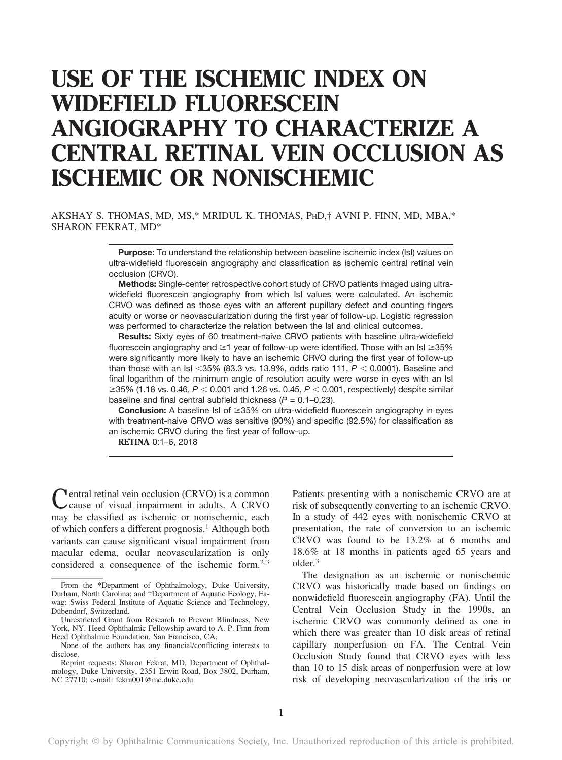# USE OF THE ISCHEMIC INDEX ON WIDEFIELD FLUORESCEIN ANGIOGRAPHY TO CHARACTERIZE A CENTRAL RETINAL VEIN OCCLUSION AS ISCHEMIC OR NONISCHEMIC

AKSHAY S. THOMAS, MD, MS,\* MRIDUL K. THOMAS, PHD,† AVNI P. FINN, MD, MBA,\* SHARON FEKRAT, MD\*

> Purpose: To understand the relationship between baseline ischemic index (IsI) values on ultra-widefield fluorescein angiography and classification as ischemic central retinal vein occlusion (CRVO).

> Methods: Single-center retrospective cohort study of CRVO patients imaged using ultrawidefield fluorescein angiography from which IsI values were calculated. An ischemic CRVO was defined as those eyes with an afferent pupillary defect and counting fingers acuity or worse or neovascularization during the first year of follow-up. Logistic regression was performed to characterize the relation between the IsI and clinical outcomes.

> Results: Sixty eyes of 60 treatment-naive CRVO patients with baseline ultra-widefield fluorescein angiography and  $\geq$ 1 year of follow-up were identified. Those with an IsI  $\geq$ 35% were significantly more likely to have an ischemic CRVO during the first year of follow-up than those with an IsI <35% (83.3 vs. 13.9%, odds ratio 111,  $P < 0.0001$ ). Baseline and final logarithm of the minimum angle of resolution acuity were worse in eyes with an IsI  $\geq$ 35% (1.18 vs. 0.46, P < 0.001 and 1.26 vs. 0.45, P < 0.001, respectively) despite similar baseline and final central subfield thickness  $(P = 0.1 - 0.23)$ .

> **Conclusion:** A baseline IsI of  $\geq$ 35% on ultra-widefield fluorescein angiography in eyes with treatment-naive CRVO was sensitive (90%) and specific (92.5%) for classification as an ischemic CRVO during the first year of follow-up.

RETINA 0:1–6, 2018

Central retinal vein occlusion (CRVO) is a common cause of visual impairment in adults. A CRVO may be classified as ischemic or nonischemic, each of which confers a different prognosis.<sup>1</sup> Although both variants can cause significant visual impairment from macular edema, ocular neovascularization is only considered a consequence of the ischemic form.2,3

Patients presenting with a nonischemic CRVO are at risk of subsequently converting to an ischemic CRVO. In a study of 442 eyes with nonischemic CRVO at presentation, the rate of conversion to an ischemic CRVO was found to be 13.2% at 6 months and 18.6% at 18 months in patients aged 65 years and older.<sup>3</sup>

The designation as an ischemic or nonischemic CRVO was historically made based on findings on nonwidefield fluorescein angiography (FA). Until the Central Vein Occlusion Study in the 1990s, an ischemic CRVO was commonly defined as one in which there was greater than 10 disk areas of retinal capillary nonperfusion on FA. The Central Vein Occlusion Study found that CRVO eyes with less than 10 to 15 disk areas of nonperfusion were at low risk of developing neovascularization of the iris or

From the \*Department of Ophthalmology, Duke University, Durham, North Carolina; and †Department of Aquatic Ecology, Eawag: Swiss Federal Institute of Aquatic Science and Technology, Dübendorf, Switzerland.

Unrestricted Grant from Research to Prevent Blindness, New York, NY. Heed Ophthalmic Fellowship award to A. P. Finn from Heed Ophthalmic Foundation, San Francisco, CA.

None of the authors has any financial/conflicting interests to disclose.

Reprint requests: Sharon Fekrat, MD, Department of Ophthalmology, Duke University, 2351 Erwin Road, Box 3802, Durham, NC 27710; e-mail: [fekra001@mc.duke.edu](mailto:fekra001@mc.duke.edu)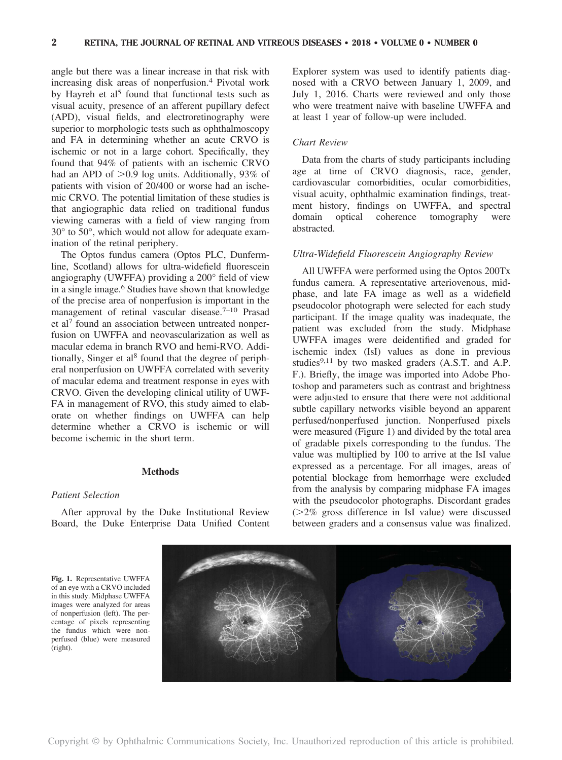angle but there was a linear increase in that risk with increasing disk areas of nonperfusion.<sup>4</sup> Pivotal work by Hayreh et al<sup>5</sup> found that functional tests such as visual acuity, presence of an afferent pupillary defect (APD), visual fields, and electroretinography were superior to morphologic tests such as ophthalmoscopy and FA in determining whether an acute CRVO is ischemic or not in a large cohort. Specifically, they found that 94% of patients with an ischemic CRVO had an APD of  $>0.9$  log units. Additionally, 93% of patients with vision of 20/400 or worse had an ischemic CRVO. The potential limitation of these studies is that angiographic data relied on traditional fundus viewing cameras with a field of view ranging from 30° to 50°, which would not allow for adequate examination of the retinal periphery.

The Optos fundus camera (Optos PLC, Dunfermline, Scotland) allows for ultra-widefield fluorescein angiography (UWFFA) providing a 200° field of view in a single image.<sup>6</sup> Studies have shown that knowledge of the precise area of nonperfusion is important in the management of retinal vascular disease.<sup>7-10</sup> Prasad et al<sup>7</sup> found an association between untreated nonperfusion on UWFFA and neovascularization as well as macular edema in branch RVO and hemi-RVO. Additionally, Singer et al<sup>8</sup> found that the degree of peripheral nonperfusion on UWFFA correlated with severity of macular edema and treatment response in eyes with CRVO. Given the developing clinical utility of UWF-FA in management of RVO, this study aimed to elaborate on whether findings on UWFFA can help determine whether a CRVO is ischemic or will become ischemic in the short term.

# **Methods**

#### Patient Selection

After approval by the Duke Institutional Review Board, the Duke Enterprise Data Unified Content Explorer system was used to identify patients diagnosed with a CRVO between January 1, 2009, and July 1, 2016. Charts were reviewed and only those who were treatment naive with baseline UWFFA and at least 1 year of follow-up were included.

## Chart Review

Data from the charts of study participants including age at time of CRVO diagnosis, race, gender, cardiovascular comorbidities, ocular comorbidities, visual acuity, ophthalmic examination findings, treatment history, findings on UWFFA, and spectral domain optical coherence tomography were abstracted.

## Ultra-Widefield Fluorescein Angiography Review

All UWFFA were performed using the Optos 200Tx fundus camera. A representative arteriovenous, midphase, and late FA image as well as a widefield pseudocolor photograph were selected for each study participant. If the image quality was inadequate, the patient was excluded from the study. Midphase UWFFA images were deidentified and graded for ischemic index (IsI) values as done in previous studies $9,11$  by two masked graders (A.S.T. and A.P. F.). Briefly, the image was imported into Adobe Photoshop and parameters such as contrast and brightness were adjusted to ensure that there were not additional subtle capillary networks visible beyond an apparent perfused/nonperfused junction. Nonperfused pixels were measured (Figure 1) and divided by the total area of gradable pixels corresponding to the fundus. The value was multiplied by 100 to arrive at the IsI value expressed as a percentage. For all images, areas of potential blockage from hemorrhage were excluded from the analysis by comparing midphase FA images with the pseudocolor photographs. Discordant grades  $(>=2\%$  gross difference in IsI value) were discussed between graders and a consensus value was finalized.

Fig. 1. Representative UWFFA of an eye with a CRVO included in this study. Midphase UWFFA images were analyzed for areas of nonperfusion (left). The percentage of pixels representing the fundus which were nonperfused (blue) were measured (right).

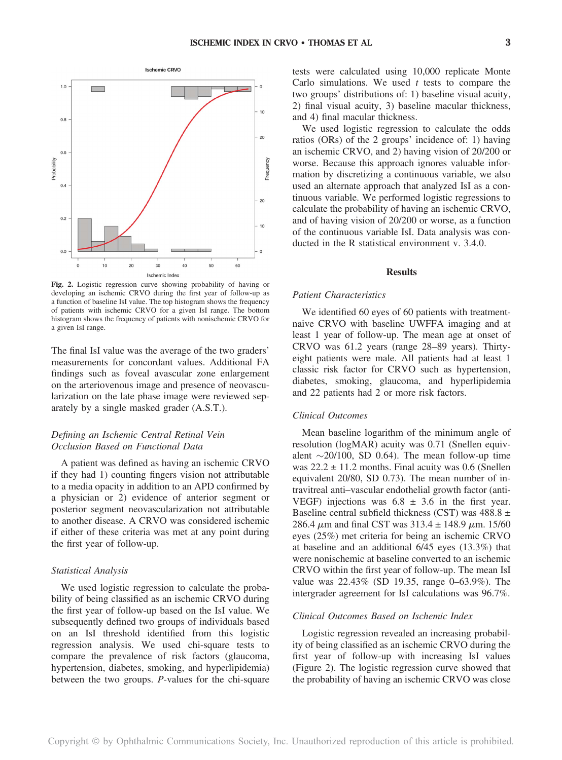

ratios (ORs) of the 2 groups' incidence of: 1) having an ischemic CRVO, and 2) having vision of 20/200 or Frequency worse. Because this approach ignores valuable information by discretizing a continuous variable, we also used an alternate approach that analyzed IsI as a con-

and 4) final macular thickness.

tinuous variable. We performed logistic regressions to calculate the probability of having an ischemic CRVO, and of having vision of 20/200 or worse, as a function of the continuous variable IsI. Data analysis was conducted in the R statistical environment v. 3.4.0.

tests were calculated using 10,000 replicate Monte Carlo simulations. We used  $t$  tests to compare the two groups' distributions of: 1) baseline visual acuity, 2) final visual acuity, 3) baseline macular thickness,

We used logistic regression to calculate the odds

## Results

Fig. 2. Logistic regression curve showing probability of having or developing an ischemic CRVO during the first year of follow-up as a function of baseline IsI value. The top histogram shows the frequency of patients with ischemic CRVO for a given IsI range. The bottom histogram shows the frequency of patients with nonischemic CRVO for a given IsI range.

The final IsI value was the average of the two graders' measurements for concordant values. Additional FA findings such as foveal avascular zone enlargement on the arteriovenous image and presence of neovascularization on the late phase image were reviewed separately by a single masked grader (A.S.T.).

# Defining an Ischemic Central Retinal Vein Occlusion Based on Functional Data

A patient was defined as having an ischemic CRVO if they had 1) counting fingers vision not attributable to a media opacity in addition to an APD confirmed by a physician or 2) evidence of anterior segment or posterior segment neovascularization not attributable to another disease. A CRVO was considered ischemic if either of these criteria was met at any point during the first year of follow-up.

## Statistical Analysis

We used logistic regression to calculate the probability of being classified as an ischemic CRVO during the first year of follow-up based on the IsI value. We subsequently defined two groups of individuals based on an IsI threshold identified from this logistic regression analysis. We used chi-square tests to compare the prevalence of risk factors (glaucoma, hypertension, diabetes, smoking, and hyperlipidemia) between the two groups. P-values for the chi-square

# Patient Characteristics

We identified 60 eyes of 60 patients with treatmentnaive CRVO with baseline UWFFA imaging and at least 1 year of follow-up. The mean age at onset of CRVO was 61.2 years (range 28–89 years). Thirtyeight patients were male. All patients had at least 1 classic risk factor for CRVO such as hypertension, diabetes, smoking, glaucoma, and hyperlipidemia and 22 patients had 2 or more risk factors.

### Clinical Outcomes

Mean baseline logarithm of the minimum angle of resolution (logMAR) acuity was 0.71 (Snellen equivalent  $\sim$ 20/100, SD 0.64). The mean follow-up time was  $22.2 \pm 11.2$  months. Final acuity was 0.6 (Snellen equivalent 20/80, SD 0.73). The mean number of intravitreal anti–vascular endothelial growth factor (anti-VEGF) injections was  $6.8 \pm 3.6$  in the first year. Baseline central subfield thickness (CST) was  $488.8 \pm$ 286.4  $\mu$ m and final CST was 313.4  $\pm$  148.9  $\mu$ m. 15/60 eyes (25%) met criteria for being an ischemic CRVO at baseline and an additional 6/45 eyes (13.3%) that were nonischemic at baseline converted to an ischemic CRVO within the first year of follow-up. The mean IsI value was 22.43% (SD 19.35, range 0–63.9%). The intergrader agreement for IsI calculations was 96.7%.

# Clinical Outcomes Based on Ischemic Index

Logistic regression revealed an increasing probability of being classified as an ischemic CRVO during the first year of follow-up with increasing IsI values (Figure 2). The logistic regression curve showed that the probability of having an ischemic CRVO was close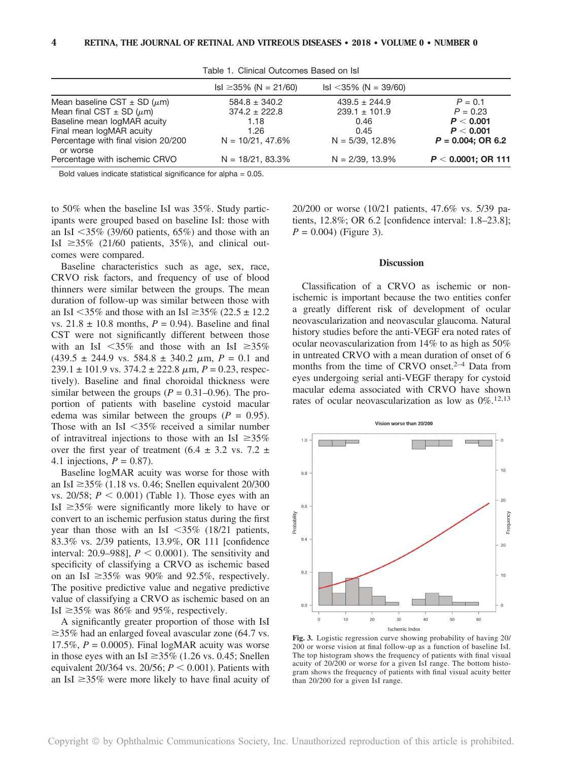|                                                 | $\text{lsl} \geq 35\% \text{ (N = 21/60)}$ | $\text{lsl} < 35\% \text{ (N = 39/60)}$ |                       |
|-------------------------------------------------|--------------------------------------------|-----------------------------------------|-----------------------|
| Mean baseline CST $\pm$ SD ( $\mu$ m)           | $584.8 \pm 340.2$                          | $439.5 \pm 244.9$                       | $P = 0.1$             |
| Mean final CST $\pm$ SD ( $\mu$ m)              | $374.2 \pm 222.8$                          | $239.1 \pm 101.9$                       | $P = 0.23$            |
| Baseline mean logMAR acuity                     | 1.18                                       | 0.46                                    | P < 0.001             |
| Final mean logMAR acuity                        | 1.26                                       | 0.45                                    | P < 0.001             |
| Percentage with final vision 20/200<br>or worse | $N = 10/21.47.6%$                          | $N = 5/39.12.8%$                        | $P = 0.004$ ; OR 6.2  |
| Percentage with ischemic CRVO                   | $N = 18/21, 83.3%$                         | $N = 2/39, 13.9%$                       | $P < 0.0001$ ; OR 111 |

Table 1. Clinical Outcomes Based on IsI

Bold values indicate statistical significance for alpha = 0.05.

to 50% when the baseline IsI was 35%. Study participants were grouped based on baseline IsI: those with an IsI  $\leq$ 35% (39/60 patients, 65%) and those with an IsI  $\geq$ 35% (21/60 patients, 35%), and clinical outcomes were compared.

Baseline characteristics such as age, sex, race, CRVO risk factors, and frequency of use of blood thinners were similar between the groups. The mean duration of follow-up was similar between those with an IsI <35% and those with an IsI  $\geq$ 35% (22.5  $\pm$  12.2 vs.  $21.8 \pm 10.8$  months,  $P = 0.94$ ). Baseline and final CST were not significantly different between those with an IsI  $\leq 35\%$  and those with an IsI  $\geq 35\%$  $(439.5 \pm 244.9 \text{ vs. } 584.8 \pm 340.2 \text{ \mu m}, P = 0.1 \text{ and}$  $239.1 \pm 101.9$  vs.  $374.2 \pm 222.8$   $\mu$ m,  $P = 0.23$ , respectively). Baseline and final choroidal thickness were similar between the groups ( $P = 0.31{\text -}0.96$ ). The proportion of patients with baseline cystoid macular edema was similar between the groups ( $P = 0.95$ ). Those with an IsI  $\leq$ 35% received a similar number of intravitreal injections to those with an IsI  $\geq 35\%$ over the first year of treatment  $(6.4 \pm 3.2 \text{ vs. } 7.2 \pm 1.2 \text{ s})$ 4.1 injections,  $P = 0.87$ ).

Baseline logMAR acuity was worse for those with an IsI  $\geq$ 35% (1.18 vs. 0.46; Snellen equivalent 20/300 vs. 20/58;  $P < 0.001$ ) (Table 1). Those eyes with an IsI  $\geq$ 35% were significantly more likely to have or convert to an ischemic perfusion status during the first year than those with an IsI  $<35\%$  (18/21 patients, 83.3% vs. 2/39 patients, 13.9%, OR 111 [confidence interval: 20.9–988],  $P < 0.0001$ ). The sensitivity and specificity of classifying a CRVO as ischemic based on an IsI  $\geq$ 35% was 90% and 92.5%, respectively. The positive predictive value and negative predictive value of classifying a CRVO as ischemic based on an IsI  $\geq$ 35% was 86% and 95%, respectively.

A significantly greater proportion of those with IsI  $\geq$ 35% had an enlarged foveal avascular zone (64.7 vs. 17.5%,  $P = 0.0005$ . Final logMAR acuity was worse in those eyes with an IsI  $\geq$ 35% (1.26 vs. 0.45; Snellen equivalent 20/364 vs. 20/56;  $P < 0.001$ ). Patients with an IsI  $\geq$ 35% were more likely to have final acuity of 20/200 or worse (10/21 patients, 47.6% vs. 5/39 patients, 12.8%; OR 6.2 [confidence interval: 1.8–23.8];  $P = 0.004$ ) (Figure 3).

#### **Discussion**

Classification of a CRVO as ischemic or nonischemic is important because the two entities confer a greatly different risk of development of ocular neovascularization and neovascular glaucoma. Natural history studies before the anti-VEGF era noted rates of ocular neovascularization from 14% to as high as 50% in untreated CRVO with a mean duration of onset of 6 months from the time of CRVO onset.<sup>2-4</sup> Data from eyes undergoing serial anti-VEGF therapy for cystoid macular edema associated with CRVO have shown rates of ocular neovascularization as low as  $0\%$ .<sup>12,13</sup>



Fig. 3. Logistic regression curve showing probability of having 20/ 200 or worse vision at final follow-up as a function of baseline IsI. The top histogram shows the frequency of patients with final visual acuity of 20/200 or worse for a given IsI range. The bottom histogram shows the frequency of patients with final visual acuity better than 20/200 for a given IsI range.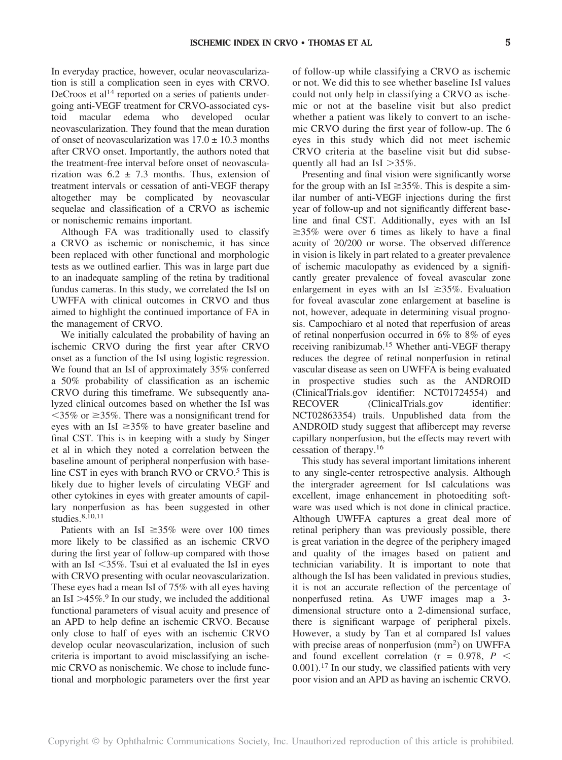In everyday practice, however, ocular neovascularization is still a complication seen in eyes with CRVO. DeCroos et al<sup>14</sup> reported on a series of patients undergoing anti-VEGF treatment for CRVO-associated cystoid macular edema who developed ocular neovascularization. They found that the mean duration of onset of neovascularization was  $17.0 \pm 10.3$  months after CRVO onset. Importantly, the authors noted that the treatment-free interval before onset of neovascularization was  $6.2 \pm 7.3$  months. Thus, extension of treatment intervals or cessation of anti-VEGF therapy altogether may be complicated by neovascular sequelae and classification of a CRVO as ischemic or nonischemic remains important.

Although FA was traditionally used to classify a CRVO as ischemic or nonischemic, it has since been replaced with other functional and morphologic tests as we outlined earlier. This was in large part due to an inadequate sampling of the retina by traditional fundus cameras. In this study, we correlated the IsI on UWFFA with clinical outcomes in CRVO and thus aimed to highlight the continued importance of FA in the management of CRVO.

We initially calculated the probability of having an ischemic CRVO during the first year after CRVO onset as a function of the IsI using logistic regression. We found that an IsI of approximately 35% conferred a 50% probability of classification as an ischemic CRVO during this timeframe. We subsequently analyzed clinical outcomes based on whether the IsI was  $\leq$ 35% or  $\geq$ 35%. There was a nonsignificant trend for eyes with an IsI  $\geq$ 35% to have greater baseline and final CST. This is in keeping with a study by Singer et al in which they noted a correlation between the baseline amount of peripheral nonperfusion with baseline CST in eyes with branch RVO or  $C R<sup>5</sup>$  This is likely due to higher levels of circulating VEGF and other cytokines in eyes with greater amounts of capillary nonperfusion as has been suggested in other studies.8,10,11

Patients with an IsI  $\geq 35\%$  were over 100 times more likely to be classified as an ischemic CRVO during the first year of follow-up compared with those with an IsI  $<$ 35%. Tsui et al evaluated the IsI in eyes with CRVO presenting with ocular neovascularization. These eyes had a mean IsI of 75% with all eyes having an IsI  $>45\%$ .<sup>9</sup> In our study, we included the additional functional parameters of visual acuity and presence of an APD to help define an ischemic CRVO. Because only close to half of eyes with an ischemic CRVO develop ocular neovascularization, inclusion of such criteria is important to avoid misclassifying an ischemic CRVO as nonischemic. We chose to include functional and morphologic parameters over the first year

of follow-up while classifying a CRVO as ischemic or not. We did this to see whether baseline IsI values could not only help in classifying a CRVO as ischemic or not at the baseline visit but also predict whether a patient was likely to convert to an ischemic CRVO during the first year of follow-up. The 6 eyes in this study which did not meet ischemic CRVO criteria at the baseline visit but did subsequently all had an IsI  $>35\%$ .

Presenting and final vision were significantly worse for the group with an IsI  $\geq$ 35%. This is despite a similar number of anti-VEGF injections during the first year of follow-up and not significantly different baseline and final CST. Additionally, eyes with an IsI  $\geq$ 35% were over 6 times as likely to have a final acuity of 20/200 or worse. The observed difference in vision is likely in part related to a greater prevalence of ischemic maculopathy as evidenced by a significantly greater prevalence of foveal avascular zone enlargement in eyes with an IsI  $\geq 35\%$ . Evaluation for foveal avascular zone enlargement at baseline is not, however, adequate in determining visual prognosis. Campochiaro et al noted that reperfusion of areas of retinal nonperfusion occurred in 6% to 8% of eyes receiving ranibizumab.15 Whether anti-VEGF therapy reduces the degree of retinal nonperfusion in retinal vascular disease as seen on UWFFA is being evaluated in prospective studies such as the ANDROID ([ClinicalTrials.gov](http://ClinicalTrials.gov) identifier: NCT01724554) and RECOVER ([ClinicalTrials.gov](http://ClinicalTrials.gov) identifier: NCT02863354) trails. Unpublished data from the ANDROID study suggest that aflibercept may reverse capillary nonperfusion, but the effects may revert with cessation of therapy.16

This study has several important limitations inherent to any single-center retrospective analysis. Although the intergrader agreement for IsI calculations was excellent, image enhancement in photoediting software was used which is not done in clinical practice. Although UWFFA captures a great deal more of retinal periphery than was previously possible, there is great variation in the degree of the periphery imaged and quality of the images based on patient and technician variability. It is important to note that although the IsI has been validated in previous studies, it is not an accurate reflection of the percentage of nonperfused retina. As UWF images map a 3 dimensional structure onto a 2-dimensional surface, there is significant warpage of peripheral pixels. However, a study by Tan et al compared IsI values with precise areas of nonperfusion (mm<sup>2</sup>) on UWFFA and found excellent correlation ( $r = 0.978$ ,  $P <$  $0.001$ ).<sup>17</sup> In our study, we classified patients with very poor vision and an APD as having an ischemic CRVO.